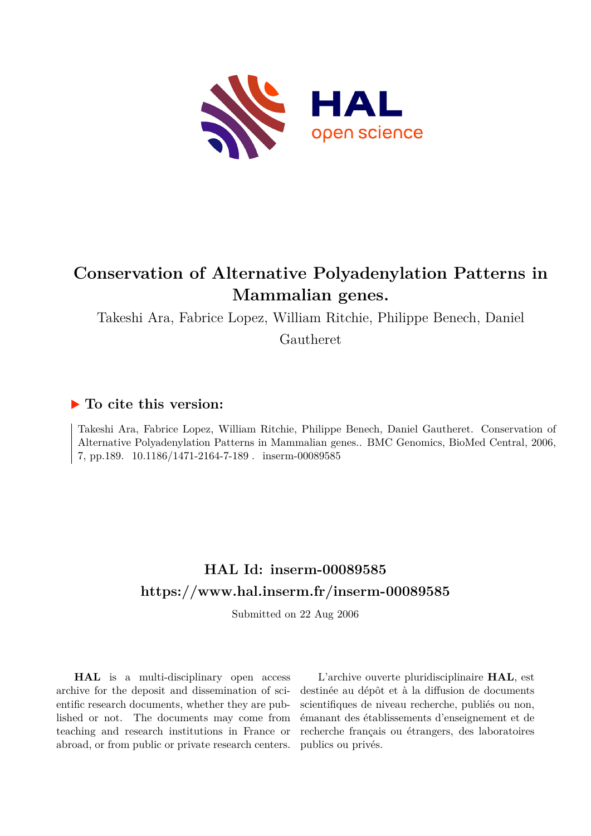

# **Conservation of Alternative Polyadenylation Patterns in Mammalian genes.**

Takeshi Ara, Fabrice Lopez, William Ritchie, Philippe Benech, Daniel

Gautheret

# **To cite this version:**

Takeshi Ara, Fabrice Lopez, William Ritchie, Philippe Benech, Daniel Gautheret. Conservation of Alternative Polyadenylation Patterns in Mammalian genes.. BMC Genomics, BioMed Central, 2006, 7, pp.189. 10.1186/1471-2164-7-189. inserm-00089585

# **HAL Id: inserm-00089585 <https://www.hal.inserm.fr/inserm-00089585>**

Submitted on 22 Aug 2006

**HAL** is a multi-disciplinary open access archive for the deposit and dissemination of scientific research documents, whether they are published or not. The documents may come from teaching and research institutions in France or abroad, or from public or private research centers.

L'archive ouverte pluridisciplinaire **HAL**, est destinée au dépôt et à la diffusion de documents scientifiques de niveau recherche, publiés ou non, émanant des établissements d'enseignement et de recherche français ou étrangers, des laboratoires publics ou privés.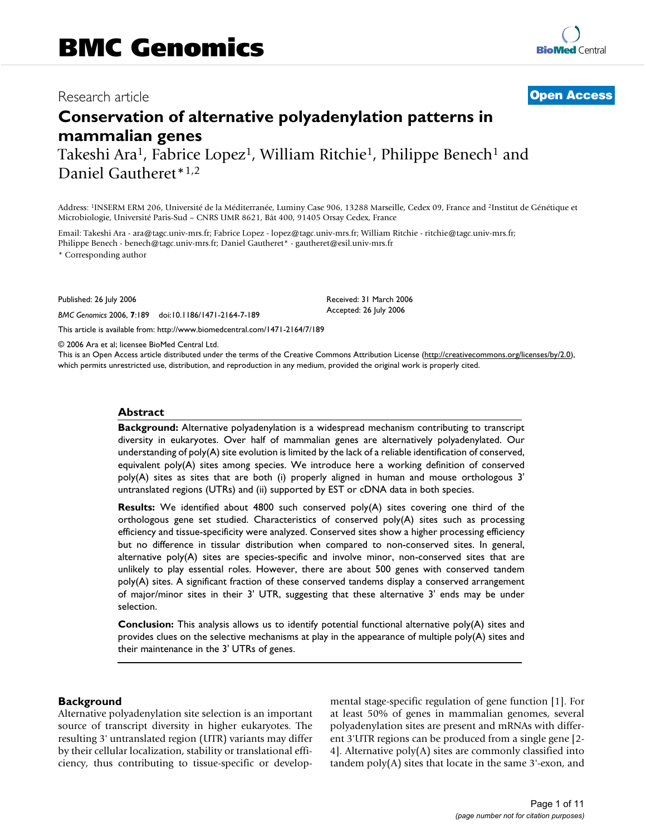# Research article **Contract Contract Contract Contract Contract Contract Contract Contract Contract Contract Contract Contract Contract Contract Contract Contract Contract Contract Contract Contract Contract Contract Contra**

# **Conservation of alternative polyadenylation patterns in mammalian genes**

Takeshi Ara<sup>1</sup>, Fabrice Lopez<sup>1</sup>, William Ritchie<sup>1</sup>, Philippe Benech<sup>1</sup> and Daniel Gautheret\*1,2

Address: <sup>1</sup>INSERM ERM 206, Université de la Méditerranée, Luminy Case 906, 13288 Marseille, Cedex 09, France and <sup>2</sup>Institut de Génétique et Microbiologie, Université Paris-Sud – CNRS UMR 8621, Bât 400, 91405 Orsay Cedex, France

Email: Takeshi Ara - ara@tagc.univ-mrs.fr; Fabrice Lopez - lopez@tagc.univ-mrs.fr; William Ritchie - ritchie@tagc.univ-mrs.fr; Philippe Benech - benech@tagc.univ-mrs.fr; Daniel Gautheret\* - gautheret@esil.univ-mrs.fr

\* Corresponding author

Published: 26 July 2006

*BMC Genomics* 2006, **7**:189 doi:10.1186/1471-2164-7-189

[This article is available from: http://www.biomedcentral.com/1471-2164/7/189](http://www.biomedcentral.com/1471-2164/7/189)

© 2006 Ara et al; licensee BioMed Central Ltd.

This is an Open Access article distributed under the terms of the Creative Commons Attribution License [\(http://creativecommons.org/licenses/by/2.0\)](http://creativecommons.org/licenses/by/2.0), which permits unrestricted use, distribution, and reproduction in any medium, provided the original work is properly cited.

Received: 31 March 2006 Accepted: 26 July 2006

## **Abstract**

**Background:** Alternative polyadenylation is a widespread mechanism contributing to transcript diversity in eukaryotes. Over half of mammalian genes are alternatively polyadenylated. Our understanding of poly(A) site evolution is limited by the lack of a reliable identification of conserved, equivalent poly(A) sites among species. We introduce here a working definition of conserved poly(A) sites as sites that are both (i) properly aligned in human and mouse orthologous 3' untranslated regions (UTRs) and (ii) supported by EST or cDNA data in both species.

**Results:** We identified about 4800 such conserved poly(A) sites covering one third of the orthologous gene set studied. Characteristics of conserved poly(A) sites such as processing efficiency and tissue-specificity were analyzed. Conserved sites show a higher processing efficiency but no difference in tissular distribution when compared to non-conserved sites. In general, alternative poly(A) sites are species-specific and involve minor, non-conserved sites that are unlikely to play essential roles. However, there are about 500 genes with conserved tandem poly(A) sites. A significant fraction of these conserved tandems display a conserved arrangement of major/minor sites in their 3' UTR, suggesting that these alternative 3' ends may be under selection.

**Conclusion:** This analysis allows us to identify potential functional alternative poly(A) sites and provides clues on the selective mechanisms at play in the appearance of multiple poly(A) sites and their maintenance in the 3' UTRs of genes.

## **Background**

Alternative polyadenylation site selection is an important source of transcript diversity in higher eukaryotes. The resulting 3' untranslated region (UTR) variants may differ by their cellular localization, stability or translational efficiency, thus contributing to tissue-specific or developmental stage-specific regulation of gene function [1]. For at least 50% of genes in mammalian genomes, several polyadenylation sites are present and mRNAs with different 3'UTR regions can be produced from a single gene [2- 4]. Alternative poly(A) sites are commonly classified into tandem  $poly(A)$  sites that locate in the same 3'-exon, and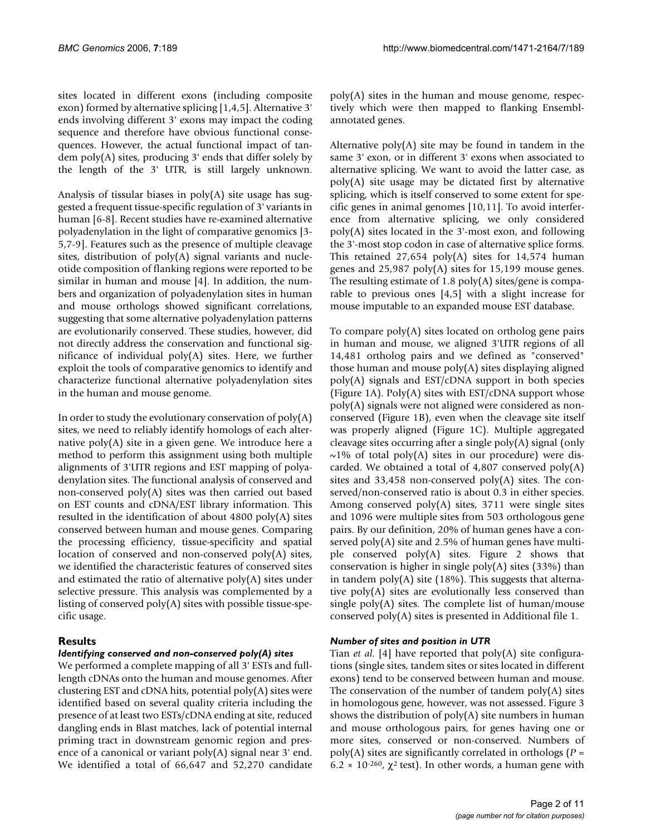sites located in different exons (including composite exon) formed by alternative splicing [1,4,5]. Alternative 3' ends involving different 3' exons may impact the coding sequence and therefore have obvious functional consequences. However, the actual functional impact of tandem poly(A) sites, producing 3' ends that differ solely by the length of the 3' UTR, is still largely unknown.

Analysis of tissular biases in poly(A) site usage has suggested a frequent tissue-specific regulation of 3' variants in human [6-8]. Recent studies have re-examined alternative polyadenylation in the light of comparative genomics [3- 5,7-9]. Features such as the presence of multiple cleavage sites, distribution of poly(A) signal variants and nucleotide composition of flanking regions were reported to be similar in human and mouse [4]. In addition, the numbers and organization of polyadenylation sites in human and mouse orthologs showed significant correlations, suggesting that some alternative polyadenylation patterns are evolutionarily conserved. These studies, however, did not directly address the conservation and functional significance of individual poly(A) sites. Here, we further exploit the tools of comparative genomics to identify and characterize functional alternative polyadenylation sites in the human and mouse genome.

In order to study the evolutionary conservation of  $poly(A)$ sites, we need to reliably identify homologs of each alternative poly(A) site in a given gene. We introduce here a method to perform this assignment using both multiple alignments of 3'UTR regions and EST mapping of polyadenylation sites. The functional analysis of conserved and non-conserved poly(A) sites was then carried out based on EST counts and cDNA/EST library information. This resulted in the identification of about 4800 poly(A) sites conserved between human and mouse genes. Comparing the processing efficiency, tissue-specificity and spatial location of conserved and non-conserved poly(A) sites, we identified the characteristic features of conserved sites and estimated the ratio of alternative poly(A) sites under selective pressure. This analysis was complemented by a listing of conserved poly(A) sites with possible tissue-specific usage.

# **Results**

# *Identifying conserved and non-conserved poly(A) sites*

We performed a complete mapping of all 3' ESTs and fulllength cDNAs onto the human and mouse genomes. After clustering EST and cDNA hits, potential poly(A) sites were identified based on several quality criteria including the presence of at least two ESTs/cDNA ending at site, reduced dangling ends in Blast matches, lack of potential internal priming tract in downstream genomic region and presence of a canonical or variant poly(A) signal near 3' end. We identified a total of 66,647 and 52,270 candidate poly(A) sites in the human and mouse genome, respectively which were then mapped to flanking Ensemblannotated genes.

Alternative poly(A) site may be found in tandem in the same 3' exon, or in different 3' exons when associated to alternative splicing. We want to avoid the latter case, as poly(A) site usage may be dictated first by alternative splicing, which is itself conserved to some extent for specific genes in animal genomes [10,11]. To avoid interference from alternative splicing, we only considered poly(A) sites located in the 3'-most exon, and following the 3'-most stop codon in case of alternative splice forms. This retained 27,654 poly(A) sites for 14,574 human genes and 25,987 poly(A) sites for 15,199 mouse genes. The resulting estimate of 1.8  $poly(A)$  sites/gene is comparable to previous ones [4,5] with a slight increase for mouse imputable to an expanded mouse EST database.

To compare poly(A) sites located on ortholog gene pairs in human and mouse, we aligned 3'UTR regions of all 14,481 ortholog pairs and we defined as "conserved" those human and mouse poly(A) sites displaying aligned poly(A) signals and EST/cDNA support in both species (Figure 1A). Poly(A) sites with EST/cDNA support whose poly(A) signals were not aligned were considered as nonconserved (Figure 1B), even when the cleavage site itself was properly aligned (Figure 1C). Multiple aggregated cleavage sites occurring after a single poly(A) signal (only  $\sim$ 1% of total poly(A) sites in our procedure) were discarded. We obtained a total of  $4,807$  conserved  $poly(A)$ sites and 33,458 non-conserved poly(A) sites. The conserved/non-conserved ratio is about 0.3 in either species. Among conserved poly(A) sites, 3711 were single sites and 1096 were multiple sites from 503 orthologous gene pairs. By our definition, 20% of human genes have a conserved poly(A) site and 2.5% of human genes have multiple conserved poly(A) sites. Figure 2 shows that conservation is higher in single  $poly(A)$  sites (33%) than in tandem  $poly(A)$  site (18%). This suggests that alternative poly(A) sites are evolutionally less conserved than single poly(A) sites. The complete list of human/mouse conserved poly(A) sites is presented in Additional file 1.

# *Number of sites and position in UTR*

Tian *et al*. [4] have reported that poly(A) site configurations (single sites, tandem sites or sites located in different exons) tend to be conserved between human and mouse. The conservation of the number of tandem  $poly(A)$  sites in homologous gene, however, was not assessed. Figure 3 shows the distribution of poly(A) site numbers in human and mouse orthologous pairs, for genes having one or more sites, conserved or non-conserved. Numbers of poly(A) sites are significantly correlated in orthologs (*P* = 6.2 × 10<sup>-260</sup>,  $\chi^2$  test). In other words, a human gene with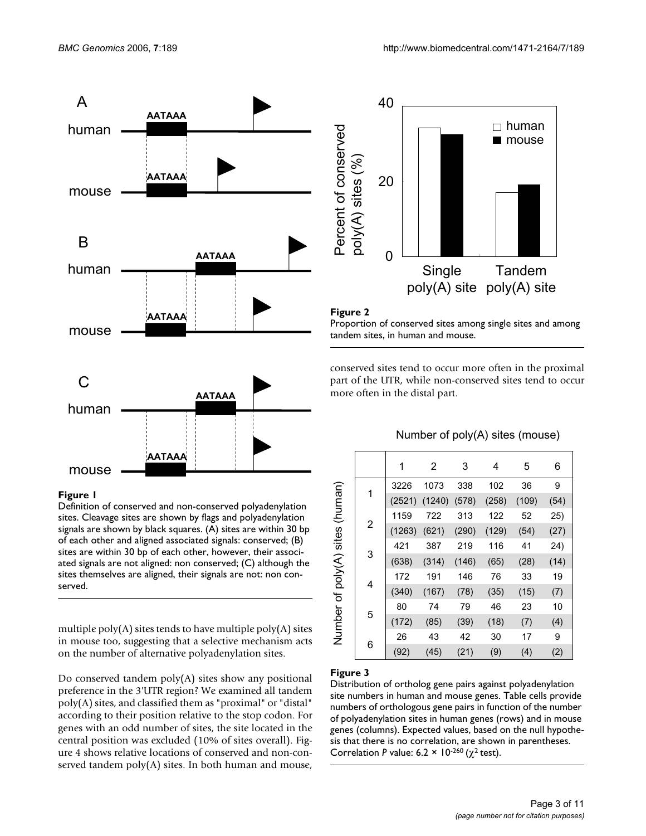

Definition of conserved and non-conserved polyadenylation sites. Cleavage sites are shown by flags and polyadenylation signals are shown by black squares. (A) sites are within 30 bp of each other and aligned associated signals: conserved; (B) sites are within 30 bp of each other, however, their associated signals are not aligned: non conserved; (C) although the sites themselves are aligned, their signals are not: non conserved.

multiple poly $(A)$  sites tends to have multiple poly $(A)$  sites in mouse too, suggesting that a selective mechanism acts on the number of alternative polyadenylation sites.

Do conserved tandem poly(A) sites show any positional preference in the 3'UTR region? We examined all tandem poly(A) sites, and classified them as "proximal" or "distal" according to their position relative to the stop codon. For genes with an odd number of sites, the site located in the central position was excluded (10% of sites overall). Figure 4 shows relative locations of conserved and non-conserved tandem poly(A) sites. In both human and mouse,



#### **Figure 2**

Proportion of conserved sites among single sites and among tandem sites, in human and mouse.

conserved sites tend to occur more often in the proximal part of the UTR, while non-conserved sites tend to occur more often in the distal part.

| Number of poly(A) sites (mouse) |  |  |  |  |
|---------------------------------|--|--|--|--|
|---------------------------------|--|--|--|--|

| Number of poly(A) sites (human) |   | 1      | 2      | 3     | 4     | 5     | 6    |
|---------------------------------|---|--------|--------|-------|-------|-------|------|
|                                 | 1 | 3226   | 1073   | 338   | 102   | 36    | 9    |
|                                 |   | (2521) | (1240) | (578) | (258) | (109) | (54) |
|                                 | 2 | 1159   | 722    | 313   | 122   | 52    | 25)  |
|                                 |   | (1263) | (621)  | (290) | (129) | (54)  | (27) |
|                                 | 3 | 421    | 387    | 219   | 116   | 41    | 24)  |
|                                 |   | (638)  | (314)  | (146) | (65)  | (28)  | (14) |
|                                 | 4 | 172    | 191    | 146   | 76    | 33    | 19   |
|                                 |   | (340)  | (167)  | (78)  | (35)  | (15)  | (7)  |
|                                 | 5 | 80     | 74     | 79    | 46    | 23    | 10   |
|                                 |   | (172)  | (85)   | (39)  | (18)  | (7)   | (4)  |
|                                 | 6 | 26     | 43     | 42    | 30    | 17    | 9    |
|                                 |   | (92)   | (45)   | (21)  | (9)   | (4)   | (2)  |

# Figure 3

Distribution of ortholog gene pairs against polyadenylation site numbers in human and mouse genes. Table cells provide numbers of orthologous gene pairs in function of the number of polyadenylation sites in human genes (rows) and in mouse genes (columns). Expected values, based on the null hypothesis that there is no correlation, are shown in parentheses. Correlation *P* value:  $6.2 \times 10^{-260}$  ( $\chi^2$  test).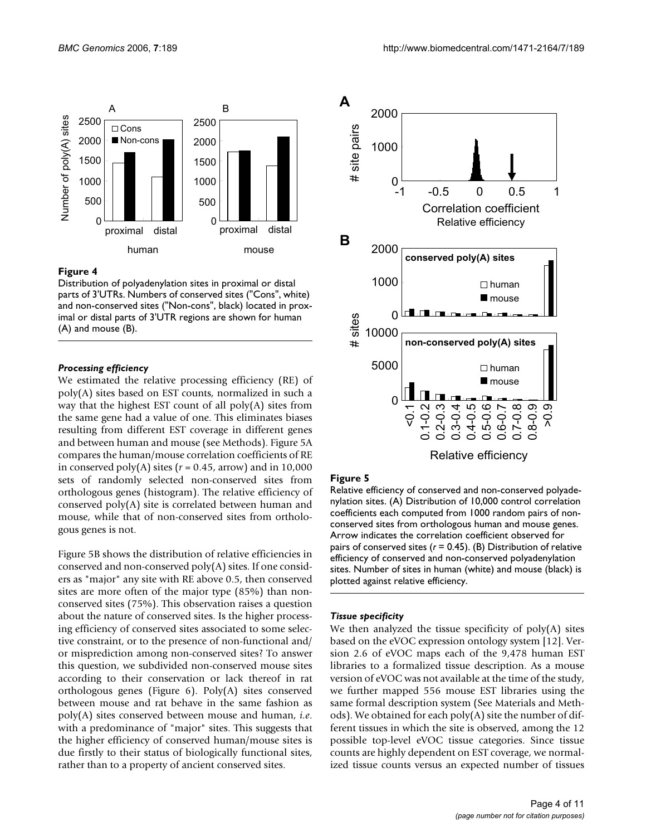

Distribution of polyadenylation sites in proximal or distal parts of 3'UTRs. Numbers of conserved sites ("Cons", white) and non-conserved sites ("Non-cons", black) located in proximal or distal parts of 3'UTR regions are shown for human

#### *Processing efficiency*

We estimated the relative processing efficiency (RE) of poly(A) sites based on EST counts, normalized in such a way that the highest EST count of all poly(A) sites from the same gene had a value of one. This eliminates biases resulting from different EST coverage in different genes and between human and mouse (see Methods). Figure 5A compares the human/mouse correlation coefficients of RE in conserved poly(A) sites ( $r = 0.45$ , arrow) and in 10,000 sets of randomly selected non-conserved sites from orthologous genes (histogram). The relative efficiency of conserved poly(A) site is correlated between human and mouse, while that of non-conserved sites from orthologous genes is not.

Figure 5B shows the distribution of relative efficiencies in conserved and non-conserved poly(A) sites. If one considers as "major" any site with RE above 0.5, then conserved sites are more often of the major type (85%) than nonconserved sites (75%). This observation raises a question about the nature of conserved sites. Is the higher processing efficiency of conserved sites associated to some selective constraint, or to the presence of non-functional and/ or misprediction among non-conserved sites? To answer this question, we subdivided non-conserved mouse sites according to their conservation or lack thereof in rat orthologous genes (Figure 6). Poly(A) sites conserved between mouse and rat behave in the same fashion as poly(A) sites conserved between mouse and human, *i.e*. with a predominance of "major" sites. This suggests that the higher efficiency of conserved human/mouse sites is due firstly to their status of biologically functional sites, rather than to a property of ancient conserved sites.



#### **Figure 5**

Relative efficiency of conserved and non-conserved polyadenylation sites. (A) Distribution of 10,000 control correlation coefficients each computed from 1000 random pairs of nonconserved sites from orthologous human and mouse genes. Arrow indicates the correlation coefficient observed for pairs of conserved sites (*r* = 0.45). (B) Distribution of relative efficiency of conserved and non-conserved polyadenylation sites. Number of sites in human (white) and mouse (black) is plotted against relative efficiency.

#### *Tissue specificity*

We then analyzed the tissue specificity of  $poly(A)$  sites based on the eVOC expression ontology system [12]. Version 2.6 of eVOC maps each of the 9,478 human EST libraries to a formalized tissue description. As a mouse version of eVOC was not available at the time of the study, we further mapped 556 mouse EST libraries using the same formal description system (See Materials and Methods). We obtained for each poly(A) site the number of different tissues in which the site is observed, among the 12 possible top-level eVOC tissue categories. Since tissue counts are highly dependent on EST coverage, we normalized tissue counts versus an expected number of tissues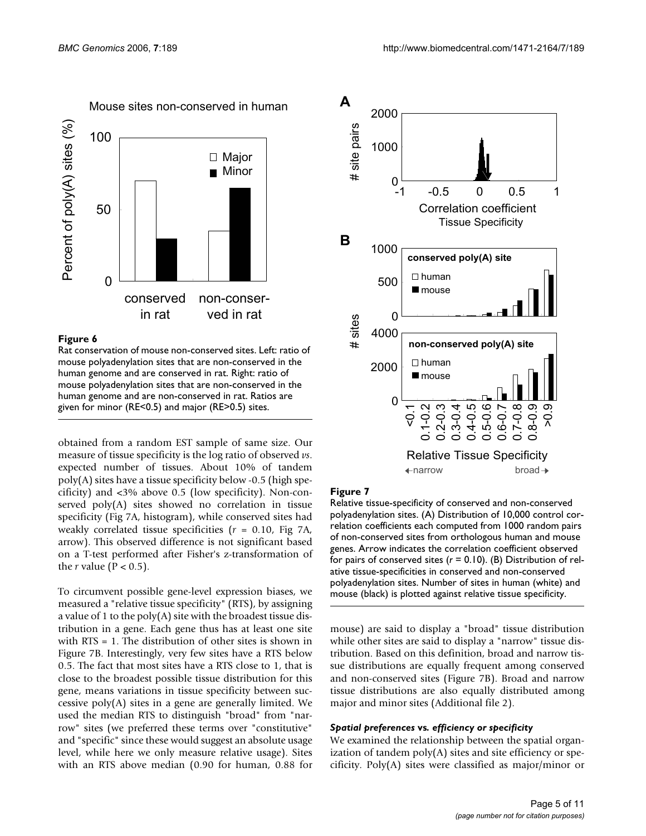

Rat conservation of mouse non-conserved sites. Left: ratio of mouse polyadenylation sites that are non-conserved in the human genome and are conserved in rat. Right: ratio of mouse polyadenylation sites that are non-conserved in the human genome and are non-conserved in rat. Ratios are given for minor (RE<0.5) and major (RE>0.5) sites.

obtained from a random EST sample of same size. Our measure of tissue specificity is the log ratio of observed *vs*. expected number of tissues. About 10% of tandem poly(A) sites have a tissue specificity below -0.5 (high specificity) and <3% above 0.5 (low specificity). Non-conserved poly(A) sites showed no correlation in tissue specificity (Fig 7A, histogram), while conserved sites had weakly correlated tissue specificities (*r* = 0.10, Fig 7A, arrow). This observed difference is not significant based on a T-test performed after Fisher's z-transformation of the *r* value ( $P < 0.5$ ).

To circumvent possible gene-level expression biases, we measured a "relative tissue specificity" (RTS), by assigning a value of 1 to the poly(A) site with the broadest tissue distribution in a gene. Each gene thus has at least one site with RTS = 1. The distribution of other sites is shown in Figure 7B. Interestingly, very few sites have a RTS below 0.5. The fact that most sites have a RTS close to 1, that is close to the broadest possible tissue distribution for this gene, means variations in tissue specificity between successive poly(A) sites in a gene are generally limited. We used the median RTS to distinguish "broad" from "narrow" sites (we preferred these terms over "constitutive" and "specific" since these would suggest an absolute usage level, while here we only measure relative usage). Sites with an RTS above median (0.90 for human, 0.88 for



#### Figure 7

Relative tissue-specificity of conserved and non-conserved polyadenylation sites. (A) Distribution of 10,000 control correlation coefficients each computed from 1000 random pairs of non-conserved sites from orthologous human and mouse genes. Arrow indicates the correlation coefficient observed for pairs of conserved sites (*r* = 0.10). (B) Distribution of relative tissue-specificities in conserved and non-conserved polyadenylation sites. Number of sites in human (white) and mouse (black) is plotted against relative tissue specificity.

mouse) are said to display a "broad" tissue distribution while other sites are said to display a "narrow" tissue distribution. Based on this definition, broad and narrow tissue distributions are equally frequent among conserved and non-conserved sites (Figure 7B). Broad and narrow tissue distributions are also equally distributed among major and minor sites (Additional file 2).

#### *Spatial preferences* **vs***. efficiency or specificity*

We examined the relationship between the spatial organization of tandem poly(A) sites and site efficiency or specificity. Poly(A) sites were classified as major/minor or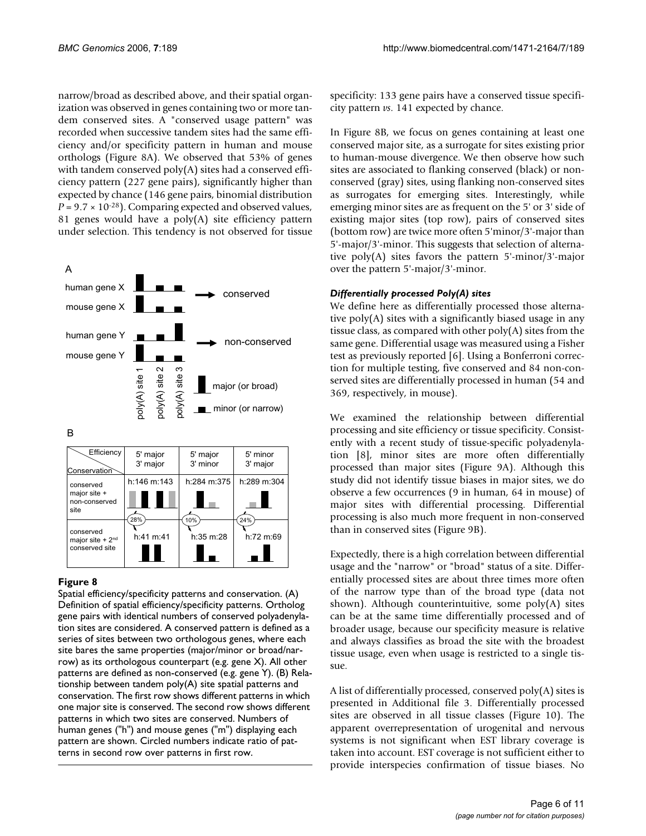narrow/broad as described above, and their spatial organization was observed in genes containing two or more tandem conserved sites. A "conserved usage pattern" was recorded when successive tandem sites had the same efficiency and/or specificity pattern in human and mouse orthologs (Figure 8A). We observed that 53% of genes with tandem conserved poly(A) sites had a conserved efficiency pattern (227 gene pairs), significantly higher than expected by chance (146 gene pairs, binomial distribution  $P = 9.7 \times 10^{-28}$ . Comparing expected and observed values, 81 genes would have a poly(A) site efficiency pattern under selection. This tendency is not observed for tissue



B



# **Figure 8**

Spatial efficiency/specificity patterns and conservation. (A) Definition of spatial efficiency/specificity patterns. Ortholog gene pairs with identical numbers of conserved polyadenylation sites are considered. A conserved pattern is defined as a series of sites between two orthologous genes, where each site bares the same properties (major/minor or broad/narrow) as its orthologous counterpart (e.g. gene X). All other patterns are defined as non-conserved (e.g. gene Y). (B) Relationship between tandem poly(A) site spatial patterns and conservation. The first row shows different patterns in which one major site is conserved. The second row shows different patterns in which two sites are conserved. Numbers of human genes ("h") and mouse genes ("m") displaying each pattern are shown. Circled numbers indicate ratio of patterns in second row over patterns in first row.

specificity: 133 gene pairs have a conserved tissue specificity pattern *vs*. 141 expected by chance.

In Figure 8B, we focus on genes containing at least one conserved major site, as a surrogate for sites existing prior to human-mouse divergence. We then observe how such sites are associated to flanking conserved (black) or nonconserved (gray) sites, using flanking non-conserved sites as surrogates for emerging sites. Interestingly, while emerging minor sites are as frequent on the 5' or 3' side of existing major sites (top row), pairs of conserved sites (bottom row) are twice more often 5'minor/3'-major than 5'-major/3'-minor. This suggests that selection of alternative poly(A) sites favors the pattern 5'-minor/3'-major over the pattern 5'-major/3'-minor.

# *Differentially processed Poly(A) sites*

We define here as differentially processed those alternative poly(A) sites with a significantly biased usage in any tissue class, as compared with other  $poly(A)$  sites from the same gene. Differential usage was measured using a Fisher test as previously reported [6]. Using a Bonferroni correction for multiple testing, five conserved and 84 non-conserved sites are differentially processed in human (54 and 369, respectively, in mouse).

We examined the relationship between differential processing and site efficiency or tissue specificity. Consistently with a recent study of tissue-specific polyadenylation [8], minor sites are more often differentially processed than major sites (Figure 9A). Although this study did not identify tissue biases in major sites, we do observe a few occurrences (9 in human, 64 in mouse) of major sites with differential processing. Differential processing is also much more frequent in non-conserved than in conserved sites (Figure 9B).

Expectedly, there is a high correlation between differential usage and the "narrow" or "broad" status of a site. Differentially processed sites are about three times more often of the narrow type than of the broad type (data not shown). Although counterintuitive, some poly(A) sites can be at the same time differentially processed and of broader usage, because our specificity measure is relative and always classifies as broad the site with the broadest tissue usage, even when usage is restricted to a single tissue.

A list of differentially processed, conserved poly(A) sites is presented in Additional file 3. Differentially processed sites are observed in all tissue classes (Figure 10). The apparent overrepresentation of urogenital and nervous systems is not significant when EST library coverage is taken into account. EST coverage is not sufficient either to provide interspecies confirmation of tissue biases. No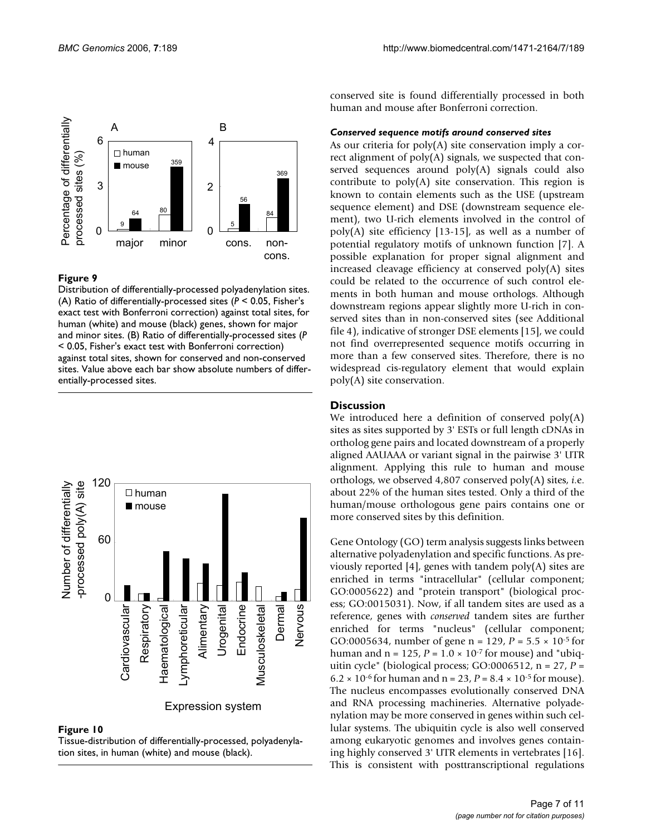

Distribution of differentially-processed polyadenylation sites. (A) Ratio of differentially-processed sites (*P* < 0.05, Fisher's exact test with Bonferroni correction) against total sites, for human (white) and mouse (black) genes, shown for major and minor sites. (B) Ratio of differentially-processed sites (*P*  < 0.05, Fisher's exact test with Bonferroni correction) against total sites, shown for conserved and non-conserved sites. Value above each bar show absolute numbers of differ-



## Figure 10

Tissue-distribution of differentially-processed, polyadenylation sites, in human (white) and mouse (black).

conserved site is found differentially processed in both human and mouse after Bonferroni correction.

#### *Conserved sequence motifs around conserved sites*

As our criteria for poly(A) site conservation imply a correct alignment of poly(A) signals, we suspected that conserved sequences around poly(A) signals could also contribute to poly(A) site conservation. This region is known to contain elements such as the USE (upstream sequence element) and DSE (downstream sequence element), two U-rich elements involved in the control of poly(A) site efficiency [13-15], as well as a number of potential regulatory motifs of unknown function [7]. A possible explanation for proper signal alignment and increased cleavage efficiency at conserved poly(A) sites could be related to the occurrence of such control elements in both human and mouse orthologs. Although downstream regions appear slightly more U-rich in conserved sites than in non-conserved sites (see Additional file 4), indicative of stronger DSE elements [15], we could not find overrepresented sequence motifs occurring in more than a few conserved sites. Therefore, there is no widespread cis-regulatory element that would explain poly(A) site conservation.

## **Discussion**

We introduced here a definition of conserved poly(A) sites as sites supported by 3' ESTs or full length cDNAs in ortholog gene pairs and located downstream of a properly aligned AAUAAA or variant signal in the pairwise 3' UTR alignment. Applying this rule to human and mouse orthologs, we observed 4,807 conserved poly(A) sites, *i*.e. about 22% of the human sites tested. Only a third of the human/mouse orthologous gene pairs contains one or more conserved sites by this definition.

Gene Ontology (GO) term analysis suggests links between alternative polyadenylation and specific functions. As previously reported [4], genes with tandem poly(A) sites are enriched in terms "intracellular" (cellular component; GO:0005622) and "protein transport" (biological process; GO:0015031). Now, if all tandem sites are used as a reference, genes with *conserved* tandem sites are further enriched for terms "nucleus" (cellular component; GO:0005634, number of gene n = 129, *P* = 5.5 × 10-5 for human and n = 125,  $P = 1.0 \times 10^{-7}$  for mouse) and "ubiquitin cycle" (biological process; GO:0006512, n = 27, *P* =  $6.2 \times 10^{-6}$  for human and n = 23,  $P = 8.4 \times 10^{-5}$  for mouse). The nucleus encompasses evolutionally conserved DNA and RNA processing machineries. Alternative polyadenylation may be more conserved in genes within such cellular systems. The ubiquitin cycle is also well conserved among eukaryotic genomes and involves genes containing highly conserved 3' UTR elements in vertebrates [16]. This is consistent with posttranscriptional regulations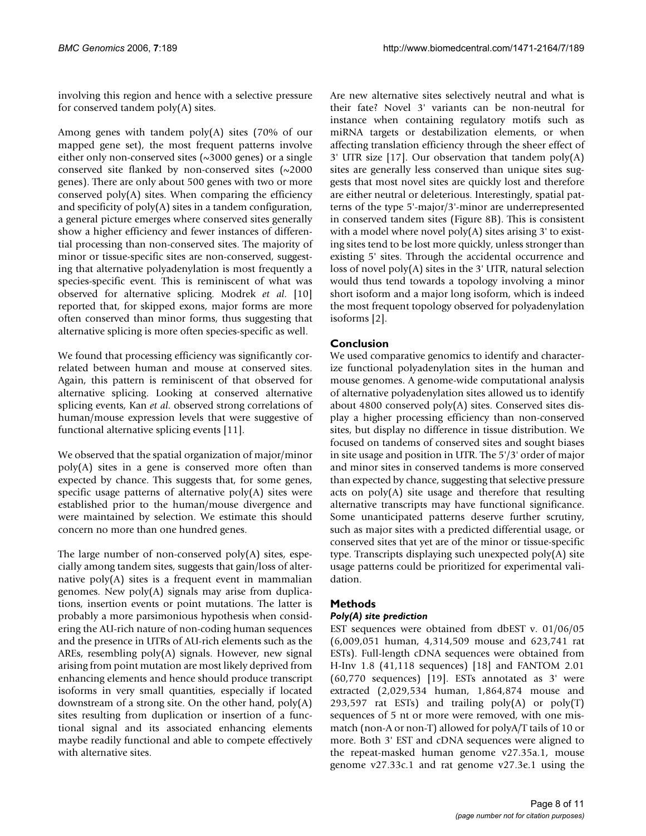involving this region and hence with a selective pressure for conserved tandem poly(A) sites.

Among genes with tandem poly(A) sites (70% of our mapped gene set), the most frequent patterns involve either only non-conserved sites  $(\sim 3000$  genes) or a single conserved site flanked by non-conserved sites (~2000 genes). There are only about 500 genes with two or more conserved  $poly(A)$  sites. When comparing the efficiency and specificity of poly(A) sites in a tandem configuration, a general picture emerges where conserved sites generally show a higher efficiency and fewer instances of differential processing than non-conserved sites. The majority of minor or tissue-specific sites are non-conserved, suggesting that alternative polyadenylation is most frequently a species-specific event. This is reminiscent of what was observed for alternative splicing. Modrek *et al*. [10] reported that, for skipped exons, major forms are more often conserved than minor forms, thus suggesting that alternative splicing is more often species-specific as well.

We found that processing efficiency was significantly correlated between human and mouse at conserved sites. Again, this pattern is reminiscent of that observed for alternative splicing. Looking at conserved alternative splicing events, Kan *et al*. observed strong correlations of human/mouse expression levels that were suggestive of functional alternative splicing events [11].

We observed that the spatial organization of major/minor poly(A) sites in a gene is conserved more often than expected by chance. This suggests that, for some genes, specific usage patterns of alternative  $poly(A)$  sites were established prior to the human/mouse divergence and were maintained by selection. We estimate this should concern no more than one hundred genes.

The large number of non-conserved poly(A) sites, especially among tandem sites, suggests that gain/loss of alternative  $poly(A)$  sites is a frequent event in mammalian genomes. New poly(A) signals may arise from duplications, insertion events or point mutations. The latter is probably a more parsimonious hypothesis when considering the AU-rich nature of non-coding human sequences and the presence in UTRs of AU-rich elements such as the AREs, resembling poly(A) signals. However, new signal arising from point mutation are most likely deprived from enhancing elements and hence should produce transcript isoforms in very small quantities, especially if located downstream of a strong site. On the other hand, poly(A) sites resulting from duplication or insertion of a functional signal and its associated enhancing elements maybe readily functional and able to compete effectively with alternative sites.

Are new alternative sites selectively neutral and what is their fate? Novel 3' variants can be non-neutral for instance when containing regulatory motifs such as miRNA targets or destabilization elements, or when affecting translation efficiency through the sheer effect of 3' UTR size [17]. Our observation that tandem poly(A) sites are generally less conserved than unique sites suggests that most novel sites are quickly lost and therefore are either neutral or deleterious. Interestingly, spatial patterns of the type 5'-major/3'-minor are underrepresented in conserved tandem sites (Figure 8B). This is consistent with a model where novel poly(A) sites arising 3' to existing sites tend to be lost more quickly, unless stronger than existing 5' sites. Through the accidental occurrence and loss of novel poly(A) sites in the 3' UTR, natural selection would thus tend towards a topology involving a minor short isoform and a major long isoform, which is indeed the most frequent topology observed for polyadenylation isoforms [2].

# **Conclusion**

We used comparative genomics to identify and characterize functional polyadenylation sites in the human and mouse genomes. A genome-wide computational analysis of alternative polyadenylation sites allowed us to identify about 4800 conserved poly(A) sites. Conserved sites display a higher processing efficiency than non-conserved sites, but display no difference in tissue distribution. We focused on tandems of conserved sites and sought biases in site usage and position in UTR. The 5'/3' order of major and minor sites in conserved tandems is more conserved than expected by chance, suggesting that selective pressure acts on poly(A) site usage and therefore that resulting alternative transcripts may have functional significance. Some unanticipated patterns deserve further scrutiny, such as major sites with a predicted differential usage, or conserved sites that yet are of the minor or tissue-specific type. Transcripts displaying such unexpected poly(A) site usage patterns could be prioritized for experimental validation.

# **Methods**

# *Poly(A) site prediction*

EST sequences were obtained from dbEST v. 01/06/05 (6,009,051 human, 4,314,509 mouse and 623,741 rat ESTs). Full-length cDNA sequences were obtained from H-Inv 1.8 (41,118 sequences) [18] and FANTOM 2.01 (60,770 sequences) [19]. ESTs annotated as 3' were extracted (2,029,534 human, 1,864,874 mouse and 293,597 rat ESTs) and trailing  $poly(A)$  or  $poly(T)$ sequences of 5 nt or more were removed, with one mismatch (non-A or non-T) allowed for polyA/T tails of 10 or more. Both 3' EST and cDNA sequences were aligned to the repeat-masked human genome v27.35a.1, mouse genome v27.33c.1 and rat genome v27.3e.1 using the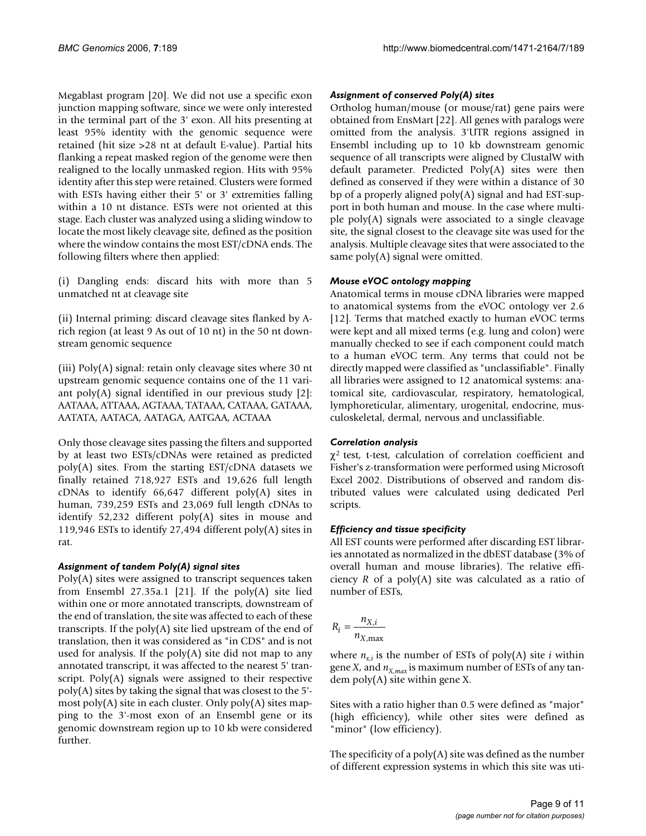Megablast program [20]. We did not use a specific exon junction mapping software, since we were only interested in the terminal part of the 3' exon. All hits presenting at least 95% identity with the genomic sequence were retained (hit size >28 nt at default E-value). Partial hits flanking a repeat masked region of the genome were then realigned to the locally unmasked region. Hits with 95% identity after this step were retained. Clusters were formed with ESTs having either their 5' or 3' extremities falling within a 10 nt distance. ESTs were not oriented at this stage. Each cluster was analyzed using a sliding window to locate the most likely cleavage site, defined as the position where the window contains the most EST/cDNA ends. The following filters where then applied:

(i) Dangling ends: discard hits with more than 5 unmatched nt at cleavage site

(ii) Internal priming: discard cleavage sites flanked by Arich region (at least 9 As out of 10 nt) in the 50 nt downstream genomic sequence

(iii) Poly(A) signal: retain only cleavage sites where 30 nt upstream genomic sequence contains one of the 11 variant poly(A) signal identified in our previous study [2]: AATAAA, ATTAAA, AGTAAA, TATAAA, CATAAA, GATAAA, AATATA, AATACA, AATAGA, AATGAA, ACTAAA

Only those cleavage sites passing the filters and supported by at least two ESTs/cDNAs were retained as predicted  $poly(A)$  sites. From the starting  $EST/cDNA$  datasets we finally retained 718,927 ESTs and 19,626 full length cDNAs to identify 66,647 different poly(A) sites in human, 739,259 ESTs and 23,069 full length cDNAs to identify 52,232 different poly(A) sites in mouse and 119,946 ESTs to identify 27,494 different poly(A) sites in rat.

# *Assignment of tandem Poly(A) signal sites*

Poly(A) sites were assigned to transcript sequences taken from Ensembl 27.35a.1 [21]. If the poly(A) site lied within one or more annotated transcripts, downstream of the end of translation, the site was affected to each of these transcripts. If the poly(A) site lied upstream of the end of translation, then it was considered as "in CDS" and is not used for analysis. If the  $poly(A)$  site did not map to any annotated transcript, it was affected to the nearest 5' transcript. Poly(A) signals were assigned to their respective poly(A) sites by taking the signal that was closest to the 5' most poly $(A)$  site in each cluster. Only poly $(A)$  sites mapping to the 3'-most exon of an Ensembl gene or its genomic downstream region up to 10 kb were considered further.

# *Assignment of conserved Poly(A) sites*

Ortholog human/mouse (or mouse/rat) gene pairs were obtained from EnsMart [22]. All genes with paralogs were omitted from the analysis. 3'UTR regions assigned in Ensembl including up to 10 kb downstream genomic sequence of all transcripts were aligned by ClustalW with default parameter. Predicted Poly(A) sites were then defined as conserved if they were within a distance of 30 bp of a properly aligned poly(A) signal and had EST-support in both human and mouse. In the case where multiple poly(A) signals were associated to a single cleavage site, the signal closest to the cleavage site was used for the analysis. Multiple cleavage sites that were associated to the same poly(A) signal were omitted.

# *Mouse eVOC ontology mapping*

Anatomical terms in mouse cDNA libraries were mapped to anatomical systems from the eVOC ontology ver 2.6 [12]. Terms that matched exactly to human eVOC terms were kept and all mixed terms (e.g. lung and colon) were manually checked to see if each component could match to a human eVOC term. Any terms that could not be directly mapped were classified as "unclassifiable". Finally all libraries were assigned to 12 anatomical systems: anatomical site, cardiovascular, respiratory, hematological, lymphoreticular, alimentary, urogenital, endocrine, musculoskeletal, dermal, nervous and unclassifiable.

# *Correlation analysis*

 $\chi^2$  test, t-test, calculation of correlation coefficient and Fisher's z-transformation were performed using Microsoft Excel 2002. Distributions of observed and random distributed values were calculated using dedicated Perl scripts.

# *Efficiency and tissue specificity*

All EST counts were performed after discarding EST libraries annotated as normalized in the dbEST database (3% of overall human and mouse libraries). The relative efficiency *R* of a poly(A) site was calculated as a ratio of number of ESTs,

$$
R_i = \frac{n_{X,i}}{n_{X,\text{max}}}
$$

where  $n_{x,i}$  is the number of ESTs of poly(A) site *i* within gene *X*, and  $n_{X,max}$  is maximum number of ESTs of any tandem poly(A) site within gene X.

Sites with a ratio higher than 0.5 were defined as "major" (high efficiency), while other sites were defined as "minor" (low efficiency).

The specificity of a poly(A) site was defined as the number of different expression systems in which this site was uti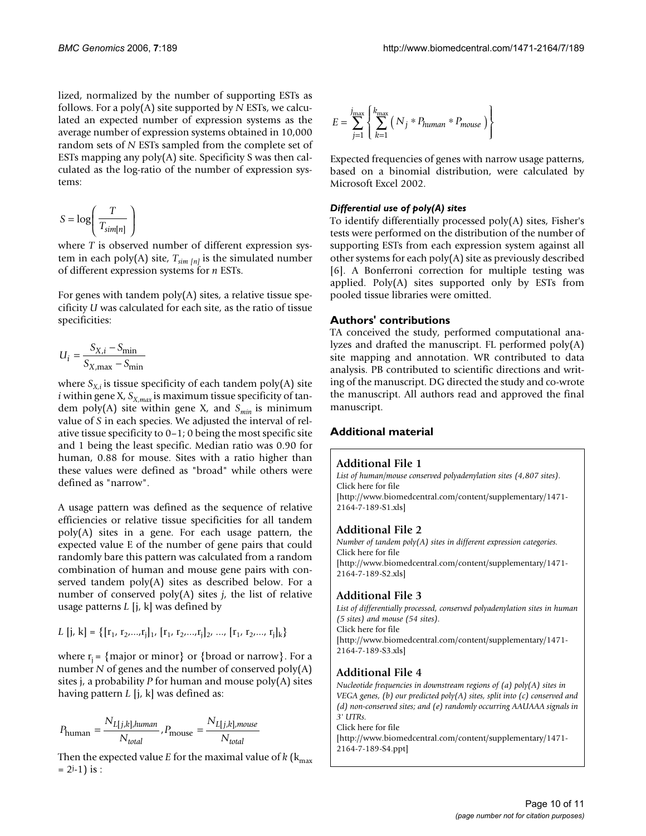lized, normalized by the number of supporting ESTs as follows. For a poly(A) site supported by *N* ESTs, we calculated an expected number of expression systems as the average number of expression systems obtained in 10,000 random sets of *N* ESTs sampled from the complete set of ESTs mapping any poly(A) site. Specificity S was then calculated as the log-ratio of the number of expression systems:

$$
S = \log\left(\frac{T}{T_{sim[n]}}\right)
$$

where *T* is observed number of different expression system in each poly(A) site, *Tsim [n]* is the simulated number of different expression systems for *n* ESTs.

For genes with tandem  $poly(A)$  sites, a relative tissue specificity *U* was calculated for each site, as the ratio of tissue specificities:

$$
U_i = \frac{S_{X,i} - S_{\min}}{S_{X,\max} - S_{\min}}
$$

where  $S_{X,i}$  is tissue specificity of each tandem poly(A) site *i* within gene X, *SX*,*max* is maximum tissue specificity of tandem poly(A) site within gene X, and  $S_{min}$  is minimum value of *S* in each species. We adjusted the interval of relative tissue specificity to 0–1; 0 being the most specific site and 1 being the least specific. Median ratio was 0.90 for human, 0.88 for mouse. Sites with a ratio higher than these values were defined as "broad" while others were defined as "narrow".

A usage pattern was defined as the sequence of relative efficiencies or relative tissue specificities for all tandem poly(A) sites in a gene. For each usage pattern, the expected value E of the number of gene pairs that could randomly bare this pattern was calculated from a random combination of human and mouse gene pairs with conserved tandem poly(A) sites as described below. For a number of conserved poly(A) sites *j*, the list of relative usage patterns *L* [j, k] was defined by

$$
L [j, k] = \{ [r_1, r_2, ..., r_j]_1, [r_1, r_2, ..., r_j]_2, ..., [r_1, r_2, ..., r_j]_k \}
$$

where  $r_i = \{major or minor\}$  or  $\{ broad or narrow\}$ . For a number *N* of genes and the number of conserved poly(A) sites j, a probability *P* for human and mouse poly(A) sites having pattern *L* [j, k] was defined as:

$$
P_{\text{human}} = \frac{N_{L[j,k], human}}{N_{total}}, P_{\text{mouse}} = \frac{N_{L[j,k], mouse}}{N_{total}}
$$

Then the expected value *E* for the maximal value of  $k$  ( $k_{max}$ )  $= 2^{j} - 1$ ) is :

$$
E = \sum_{j=1}^{j_{\text{max}}} \left\{ \sum_{k=1}^{k_{\text{max}}} \left( N_j * P_{human} * P_{mouse} \right) \right\}
$$

Expected frequencies of genes with narrow usage patterns, based on a binomial distribution, were calculated by Microsoft Excel 2002.

# *Differential use of poly(A) sites*

To identify differentially processed poly(A) sites, Fisher's tests were performed on the distribution of the number of supporting ESTs from each expression system against all other systems for each poly(A) site as previously described [6]. A Bonferroni correction for multiple testing was applied. Poly $(A)$  sites supported only by ESTs from pooled tissue libraries were omitted.

# **Authors' contributions**

TA conceived the study, performed computational analyzes and drafted the manuscript. FL performed poly(A) site mapping and annotation. WR contributed to data analysis. PB contributed to scientific directions and writing of the manuscript. DG directed the study and co-wrote the manuscript. All authors read and approved the final manuscript.

# **Additional material**

## **Additional File 1**

*List of human/mouse conserved polyadenylation sites (4,807 sites).* Click here for file [\[http://www.biomedcentral.com/content/supplementary/1471-](http://www.biomedcentral.com/content/supplementary/1471-2164-7-189-S1.xls) 2164-7-189-S1.xls]

## **Additional File 2**

*Number of tandem poly(A) sites in different expression categories.* Click here for file [\[http://www.biomedcentral.com/content/supplementary/1471-](http://www.biomedcentral.com/content/supplementary/1471-2164-7-189-S2.xls) 2164-7-189-S2.xls]

# **Additional File 3**

*List of differentially processed, conserved polyadenylation sites in human (5 sites) and mouse (54 sites).* Click here for file [\[http://www.biomedcentral.com/content/supplementary/1471-](http://www.biomedcentral.com/content/supplementary/1471-2164-7-189-S3.xls) 2164-7-189-S3.xls]

# **Additional File 4**

*Nucleotide frequencies in downstream regions of (a) poly(A) sites in VEGA genes, (b) our predicted poly(A) sites, split into (c) conserved and (d) non-conserved sites; and (e) randomly occurring AAUAAA signals in 3' UTRs.* Click here for file [\[http://www.biomedcentral.com/content/supplementary/1471-](http://www.biomedcentral.com/content/supplementary/1471-2164-7-189-S4.ppt) 2164-7-189-S4.ppt]